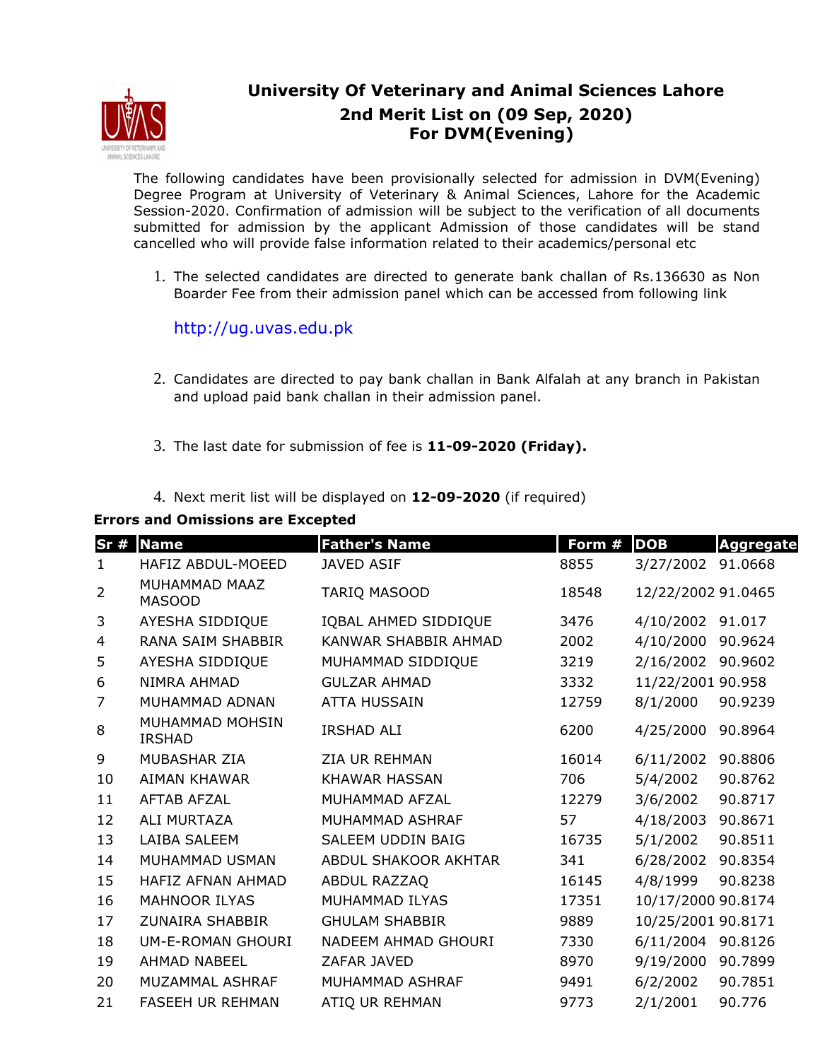

## **University Of Veterinary and Animal Sciences Lahore 2nd Merit List on (09 Sep, 2020) For DVM(Evening)**

The following candidates have been provisionally selected for admission in DVM(Evening) Degree Program at University of Veterinary & Animal Sciences, Lahore for the Academic Session-2020. Confirmation of admission will be subject to the verification of all documents submitted for admission by the applicant Admission of those candidates will be stand cancelled who will provide false information related to their academics/personal etc

1. The selected candidates are directed to generate bank challan of Rs.136630 as Non Boarder Fee from their admission panel which can be accessed from following link

http://ug.uvas.edu.pk

- 2. Candidates are directed to pay bank challan in Bank Alfalah at any branch in Pakistan and upload paid bank challan in their admission panel.
- 3. The last date for submission of fee is **11-09-2020 (Friday).**
- 4. Next merit list will be displayed on **12-09-2020** (if required)

## **Errors and Omissions are Excepted**

| Sr#            | <b>Name</b>                      | <b>Father's Name</b>       | Form # | <b>DOB</b>         | <b>Aggregate</b> |
|----------------|----------------------------------|----------------------------|--------|--------------------|------------------|
| 1              | HAFIZ ABDUL-MOEED                | <b>JAVED ASIF</b>          | 8855   | 3/27/2002          | 91.0668          |
| $\overline{2}$ | MUHAMMAD MAAZ<br><b>MASOOD</b>   | TARIQ MASOOD               | 18548  | 12/22/2002 91.0465 |                  |
| 3              | AYESHA SIDDIQUE                  | IQBAL AHMED SIDDIQUE       | 3476   | 4/10/2002          | 91.017           |
| 4              | RANA SAIM SHABBIR                | KANWAR SHABBIR AHMAD       | 2002   | 4/10/2000          | 90.9624          |
| 5              | AYESHA SIDDIQUE                  | MUHAMMAD SIDDIQUE          | 3219   | 2/16/2002          | 90.9602          |
| 6              | <b>NIMRA AHMAD</b>               | <b>GULZAR AHMAD</b>        | 3332   | 11/22/2001 90.958  |                  |
| 7              | MUHAMMAD ADNAN                   | <b>ATTA HUSSAIN</b>        | 12759  | 8/1/2000           | 90.9239          |
| 8              | MUHAMMAD MOHSIN<br><b>IRSHAD</b> | <b>IRSHAD ALI</b>          | 6200   | 4/25/2000          | 90.8964          |
| 9              | MUBASHAR ZIA                     | <b>ZIA UR REHMAN</b>       | 16014  | 6/11/2002          | 90.8806          |
| 10             | <b>AIMAN KHAWAR</b>              | <b>KHAWAR HASSAN</b>       | 706    | 5/4/2002           | 90.8762          |
| 11             | <b>AFTAB AFZAL</b>               | MUHAMMAD AFZAL             | 12279  | 3/6/2002           | 90.8717          |
| 12             | <b>ALI MURTAZA</b>               | MUHAMMAD ASHRAF            | 57     | 4/18/2003          | 90.8671          |
| 13             | <b>LAIBA SALEEM</b>              | <b>SALEEM UDDIN BAIG</b>   | 16735  | 5/1/2002           | 90.8511          |
| 14             | MUHAMMAD USMAN                   | ABDUL SHAKOOR AKHTAR       | 341    | 6/28/2002          | 90.8354          |
| 15             | <b>HAFIZ AFNAN AHMAD</b>         | ABDUL RAZZAQ               | 16145  | 4/8/1999           | 90.8238          |
| 16             | <b>MAHNOOR ILYAS</b>             | MUHAMMAD ILYAS             | 17351  | 10/17/2000 90.8174 |                  |
| 17             | <b>ZUNAIRA SHABBIR</b>           | <b>GHULAM SHABBIR</b>      | 9889   | 10/25/2001 90.8171 |                  |
| 18             | <b>UM-E-ROMAN GHOURI</b>         | <b>NADEEM AHMAD GHOURI</b> | 7330   | 6/11/2004          | 90.8126          |
| 19             | <b>AHMAD NABEEL</b>              | ZAFAR JAVED                | 8970   | 9/19/2000          | 90.7899          |
| 20             | MUZAMMAL ASHRAF                  | MUHAMMAD ASHRAF            | 9491   | 6/2/2002           | 90.7851          |
| 21             | <b>FASEEH UR REHMAN</b>          | ATIQ UR REHMAN             | 9773   | 2/1/2001           | 90.776           |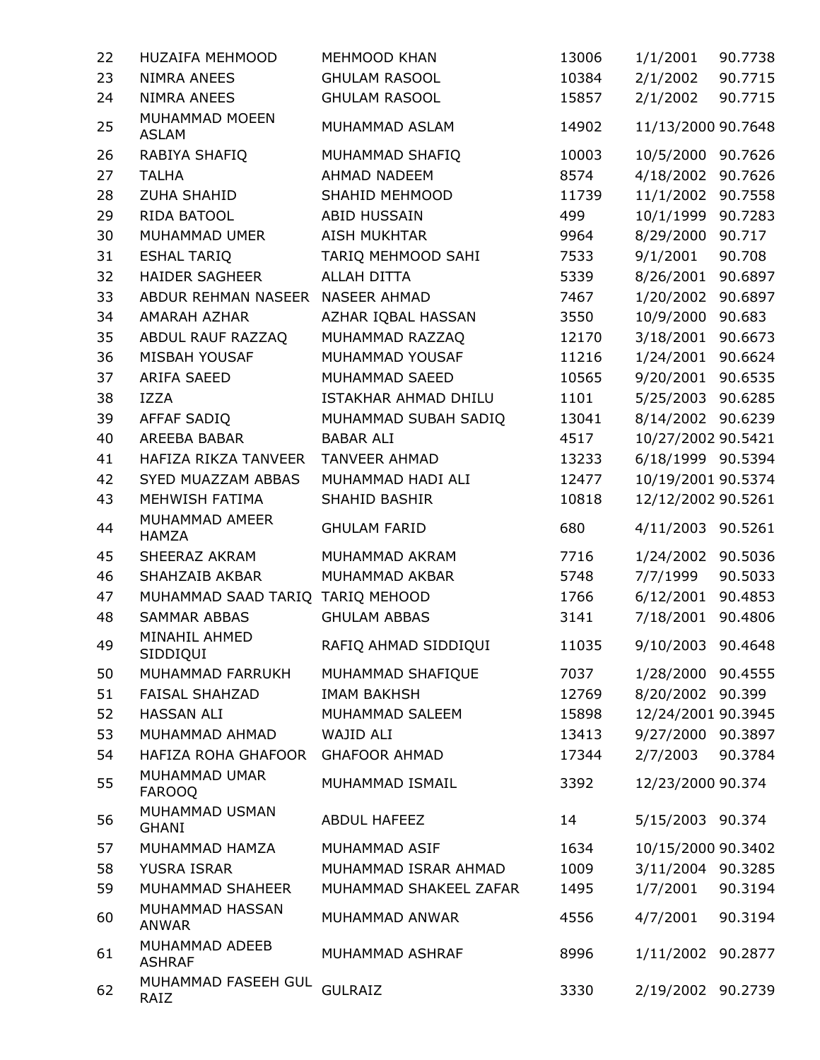| 22 | <b>HUZAIFA MEHMOOD</b>           | MEHMOOD KHAN           | 13006 | 1/1/2001           | 90.7738 |
|----|----------------------------------|------------------------|-------|--------------------|---------|
| 23 | <b>NIMRA ANEES</b>               | <b>GHULAM RASOOL</b>   | 10384 | 2/1/2002           | 90.7715 |
| 24 | NIMRA ANEES                      | <b>GHULAM RASOOL</b>   | 15857 | 2/1/2002           | 90.7715 |
| 25 | MUHAMMAD MOEEN<br><b>ASLAM</b>   | MUHAMMAD ASLAM         | 14902 | 11/13/2000 90.7648 |         |
| 26 | RABIYA SHAFIQ                    | MUHAMMAD SHAFIQ        | 10003 | 10/5/2000 90.7626  |         |
| 27 | <b>TALHA</b>                     | <b>AHMAD NADEEM</b>    | 8574  | 4/18/2002 90.7626  |         |
| 28 | <b>ZUHA SHAHID</b>               | SHAHID MEHMOOD         | 11739 | 11/1/2002          | 90.7558 |
| 29 | RIDA BATOOL                      | <b>ABID HUSSAIN</b>    | 499   | 10/1/1999 90.7283  |         |
| 30 | MUHAMMAD UMER                    | <b>AISH MUKHTAR</b>    | 9964  | 8/29/2000          | 90.717  |
| 31 | <b>ESHAL TARIQ</b>               | TARIQ MEHMOOD SAHI     | 7533  | 9/1/2001           | 90.708  |
| 32 | <b>HAIDER SAGHEER</b>            | <b>ALLAH DITTA</b>     | 5339  | 8/26/2001          | 90.6897 |
| 33 | ABDUR REHMAN NASEER              | <b>NASEER AHMAD</b>    | 7467  | 1/20/2002 90.6897  |         |
| 34 | <b>AMARAH AZHAR</b>              | AZHAR IQBAL HASSAN     | 3550  | 10/9/2000 90.683   |         |
| 35 | ABDUL RAUF RAZZAQ                | MUHAMMAD RAZZAQ        | 12170 | 3/18/2001 90.6673  |         |
| 36 | MISBAH YOUSAF                    | MUHAMMAD YOUSAF        | 11216 | 1/24/2001          | 90.6624 |
| 37 | ARIFA SAEED                      | MUHAMMAD SAEED         | 10565 | 9/20/2001 90.6535  |         |
| 38 | <b>IZZA</b>                      | ISTAKHAR AHMAD DHILU   | 1101  | 5/25/2003 90.6285  |         |
| 39 | AFFAF SADIQ                      | MUHAMMAD SUBAH SADIQ   | 13041 | 8/14/2002 90.6239  |         |
| 40 | AREEBA BABAR                     | <b>BABAR ALI</b>       | 4517  | 10/27/2002 90.5421 |         |
| 41 | HAFIZA RIKZA TANVEER             | <b>TANVEER AHMAD</b>   | 13233 | 6/18/1999 90.5394  |         |
| 42 | SYED MUAZZAM ABBAS               | MUHAMMAD HADI ALI      | 12477 | 10/19/2001 90.5374 |         |
| 43 | MEHWISH FATIMA                   | SHAHID BASHIR          | 10818 | 12/12/2002 90.5261 |         |
| 44 | MUHAMMAD AMEER<br><b>HAMZA</b>   | <b>GHULAM FARID</b>    | 680   | 4/11/2003 90.5261  |         |
| 45 | SHEERAZ AKRAM                    | MUHAMMAD AKRAM         | 7716  | 1/24/2002 90.5036  |         |
| 46 | SHAHZAIB AKBAR                   | MUHAMMAD AKBAR         | 5748  | 7/7/1999           | 90.5033 |
| 47 | MUHAMMAD SAAD TARIQ TARIQ MEHOOD |                        | 1766  | 6/12/2001          | 90.4853 |
| 48 | <b>SAMMAR ABBAS</b>              | <b>GHULAM ABBAS</b>    | 3141  | 7/18/2001          | 90.4806 |
| 49 | MINAHIL AHMED<br>SIDDIQUI        | RAFIQ AHMAD SIDDIQUI   | 11035 | 9/10/2003 90.4648  |         |
| 50 | MUHAMMAD FARRUKH                 | MUHAMMAD SHAFIQUE      | 7037  | 1/28/2000 90.4555  |         |
| 51 | <b>FAISAL SHAHZAD</b>            | <b>IMAM BAKHSH</b>     | 12769 | 8/20/2002 90.399   |         |
| 52 | <b>HASSAN ALI</b>                | MUHAMMAD SALEEM        | 15898 | 12/24/2001 90.3945 |         |
| 53 | MUHAMMAD AHMAD                   | <b>WAJID ALI</b>       | 13413 | 9/27/2000 90.3897  |         |
| 54 | HAFIZA ROHA GHAFOOR              | <b>GHAFOOR AHMAD</b>   | 17344 | 2/7/2003           | 90.3784 |
| 55 | MUHAMMAD UMAR<br><b>FAROOQ</b>   | MUHAMMAD ISMAIL        | 3392  | 12/23/2000 90.374  |         |
| 56 | MUHAMMAD USMAN<br><b>GHANI</b>   | <b>ABDUL HAFEEZ</b>    | 14    | 5/15/2003 90.374   |         |
| 57 | MUHAMMAD HAMZA                   | MUHAMMAD ASIF          | 1634  | 10/15/2000 90.3402 |         |
| 58 | <b>YUSRA ISRAR</b>               | MUHAMMAD ISRAR AHMAD   | 1009  | 3/11/2004 90.3285  |         |
| 59 | MUHAMMAD SHAHEER                 | MUHAMMAD SHAKEEL ZAFAR | 1495  | 1/7/2001           | 90.3194 |
| 60 | MUHAMMAD HASSAN<br><b>ANWAR</b>  | MUHAMMAD ANWAR         | 4556  | 4/7/2001           | 90.3194 |
| 61 | MUHAMMAD ADEEB<br><b>ASHRAF</b>  | MUHAMMAD ASHRAF        | 8996  | 1/11/2002 90.2877  |         |
| 62 | MUHAMMAD FASEEH GUL<br>RAIZ      | <b>GULRAIZ</b>         | 3330  | 2/19/2002 90.2739  |         |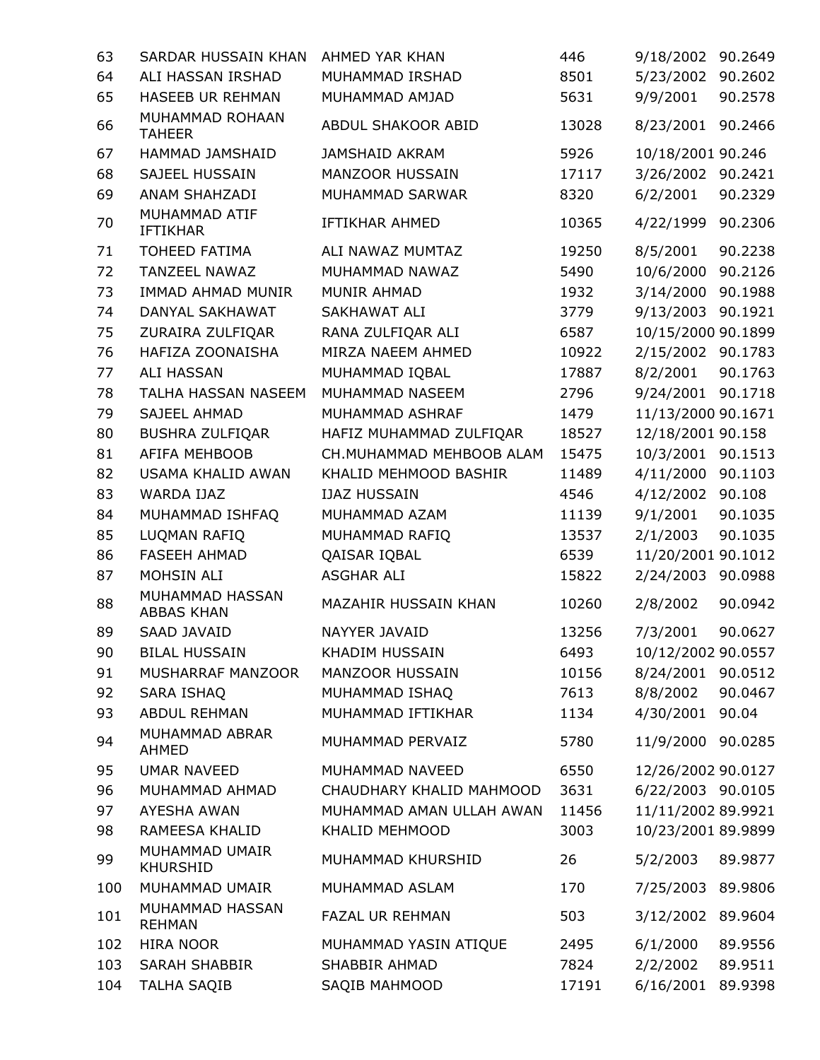| 63  | SARDAR HUSSAIN KHAN                  | AHMED YAR KHAN            | 446   | 9/18/2002 90.2649  |         |
|-----|--------------------------------------|---------------------------|-------|--------------------|---------|
| 64  | ALI HASSAN IRSHAD                    | MUHAMMAD IRSHAD           | 8501  | 5/23/2002 90.2602  |         |
| 65  | HASEEB UR REHMAN                     | MUHAMMAD AMJAD            | 5631  | 9/9/2001           | 90.2578 |
| 66  | MUHAMMAD ROHAAN<br><b>TAHEER</b>     | <b>ABDUL SHAKOOR ABID</b> | 13028 | 8/23/2001 90.2466  |         |
| 67  | HAMMAD JAMSHAID                      | <b>JAMSHAID AKRAM</b>     | 5926  | 10/18/2001 90.246  |         |
| 68  | SAJEEL HUSSAIN                       | MANZOOR HUSSAIN           | 17117 | 3/26/2002 90.2421  |         |
| 69  | ANAM SHAHZADI                        | MUHAMMAD SARWAR           | 8320  | 6/2/2001           | 90.2329 |
| 70  | MUHAMMAD ATIF<br><b>IFTIKHAR</b>     | <b>IFTIKHAR AHMED</b>     | 10365 | 4/22/1999 90.2306  |         |
| 71  | TOHEED FATIMA                        | ALI NAWAZ MUMTAZ          | 19250 | 8/5/2001           | 90.2238 |
| 72  | TANZEEL NAWAZ                        | MUHAMMAD NAWAZ            | 5490  | 10/6/2000          | 90.2126 |
| 73  | IMMAD AHMAD MUNIR                    | MUNIR AHMAD               | 1932  | 3/14/2000          | 90.1988 |
| 74  | DANYAL SAKHAWAT                      | SAKHAWAT ALI              | 3779  | 9/13/2003 90.1921  |         |
| 75  | ZURAIRA ZULFIQAR                     | RANA ZULFIQAR ALI         | 6587  | 10/15/2000 90.1899 |         |
| 76  | HAFIZA ZOONAISHA                     | MIRZA NAEEM AHMED         | 10922 | 2/15/2002 90.1783  |         |
| 77  | ALI HASSAN                           | MUHAMMAD IQBAL            | 17887 | 8/2/2001           | 90.1763 |
| 78  | TALHA HASSAN NASEEM                  | MUHAMMAD NASEEM           | 2796  | 9/24/2001 90.1718  |         |
| 79  | <b>SAJEEL AHMAD</b>                  | MUHAMMAD ASHRAF           | 1479  | 11/13/2000 90.1671 |         |
| 80  | <b>BUSHRA ZULFIQAR</b>               | HAFIZ MUHAMMAD ZULFIQAR   | 18527 | 12/18/2001 90.158  |         |
| 81  | AFIFA MEHBOOB                        | CH. MUHAMMAD MEHBOOB ALAM | 15475 | 10/3/2001 90.1513  |         |
| 82  | <b>USAMA KHALID AWAN</b>             | KHALID MEHMOOD BASHIR     | 11489 | 4/11/2000 90.1103  |         |
| 83  | <b>WARDA IJAZ</b>                    | <b>IJAZ HUSSAIN</b>       | 4546  | 4/12/2002 90.108   |         |
| 84  | MUHAMMAD ISHFAQ                      | MUHAMMAD AZAM             | 11139 | 9/1/2001           | 90.1035 |
| 85  | LUQMAN RAFIQ                         | MUHAMMAD RAFIQ            | 13537 | 2/1/2003           | 90.1035 |
| 86  | <b>FASEEH AHMAD</b>                  | QAISAR IQBAL              | 6539  | 11/20/2001 90.1012 |         |
| 87  | MOHSIN ALI                           | <b>ASGHAR ALI</b>         | 15822 | 2/24/2003          | 90.0988 |
| 88  | MUHAMMAD HASSAN<br><b>ABBAS KHAN</b> | MAZAHIR HUSSAIN KHAN      | 10260 | 2/8/2002           | 90.0942 |
| 89  | SAAD JAVAID                          | NAYYER JAVAID             | 13256 | 7/3/2001           | 90.0627 |
| 90  | <b>BILAL HUSSAIN</b>                 | KHADIM HUSSAIN            | 6493  | 10/12/2002 90.0557 |         |
| 91  | MUSHARRAF MANZOOR                    | MANZOOR HUSSAIN           | 10156 | 8/24/2001 90.0512  |         |
| 92  | SARA ISHAQ                           | MUHAMMAD ISHAQ            | 7613  | 8/8/2002           | 90.0467 |
| 93  | <b>ABDUL REHMAN</b>                  | MUHAMMAD IFTIKHAR         | 1134  | 4/30/2001 90.04    |         |
| 94  | MUHAMMAD ABRAR<br>AHMED              | MUHAMMAD PERVAIZ          | 5780  | 11/9/2000 90.0285  |         |
| 95  | <b>UMAR NAVEED</b>                   | MUHAMMAD NAVEED           | 6550  | 12/26/2002 90.0127 |         |
| 96  | MUHAMMAD AHMAD                       | CHAUDHARY KHALID MAHMOOD  | 3631  | 6/22/2003 90.0105  |         |
| 97  | <b>AYESHA AWAN</b>                   | MUHAMMAD AMAN ULLAH AWAN  | 11456 | 11/11/2002 89.9921 |         |
| 98  | RAMEESA KHALID                       | KHALID MEHMOOD            | 3003  | 10/23/2001 89.9899 |         |
| 99  | MUHAMMAD UMAIR<br><b>KHURSHID</b>    | MUHAMMAD KHURSHID         | 26    | 5/2/2003           | 89.9877 |
| 100 | MUHAMMAD UMAIR                       | MUHAMMAD ASLAM            | 170   | 7/25/2003 89.9806  |         |
| 101 | MUHAMMAD HASSAN<br><b>REHMAN</b>     | FAZAL UR REHMAN           | 503   | 3/12/2002 89.9604  |         |
| 102 | <b>HIRA NOOR</b>                     | MUHAMMAD YASIN ATIQUE     | 2495  | 6/1/2000           | 89.9556 |
| 103 | <b>SARAH SHABBIR</b>                 | <b>SHABBIR AHMAD</b>      | 7824  | 2/2/2002           | 89.9511 |
| 104 | <b>TALHA SAQIB</b>                   | SAQIB MAHMOOD             | 17191 | 6/16/2001          | 89.9398 |